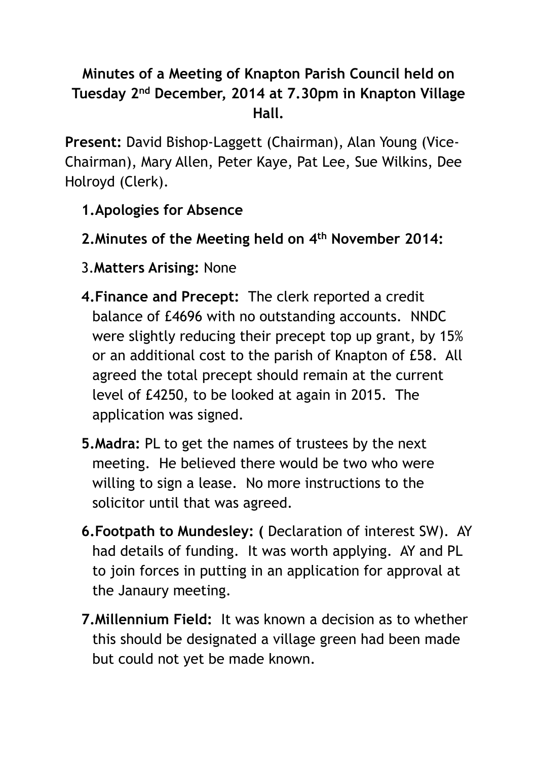## **Minutes of a Meeting of Knapton Parish Council held on Tuesday 2nd December, 2014 at 7.30pm in Knapton Village Hall.**

**Present:** David Bishop-Laggett (Chairman), Alan Young (Vice-Chairman), Mary Allen, Peter Kaye, Pat Lee, Sue Wilkins, Dee Holroyd (Clerk).

- **1.Apologies for Absence**
- **2.Minutes of the Meeting held on 4th November 2014:**
- 3.**Matters Arising:** None
- **4.Finance and Precept:** The clerk reported a credit balance of £4696 with no outstanding accounts. NNDC were slightly reducing their precept top up grant, by 15% or an additional cost to the parish of Knapton of £58. All agreed the total precept should remain at the current level of £4250, to be looked at again in 2015. The application was signed.
- **5.Madra:** PL to get the names of trustees by the next meeting. He believed there would be two who were willing to sign a lease. No more instructions to the solicitor until that was agreed.
- **6.Footpath to Mundesley: (** Declaration of interest SW). AY had details of funding. It was worth applying. AY and PL to join forces in putting in an application for approval at the Janaury meeting.
- **7.Millennium Field:** It was known a decision as to whether this should be designated a village green had been made but could not yet be made known.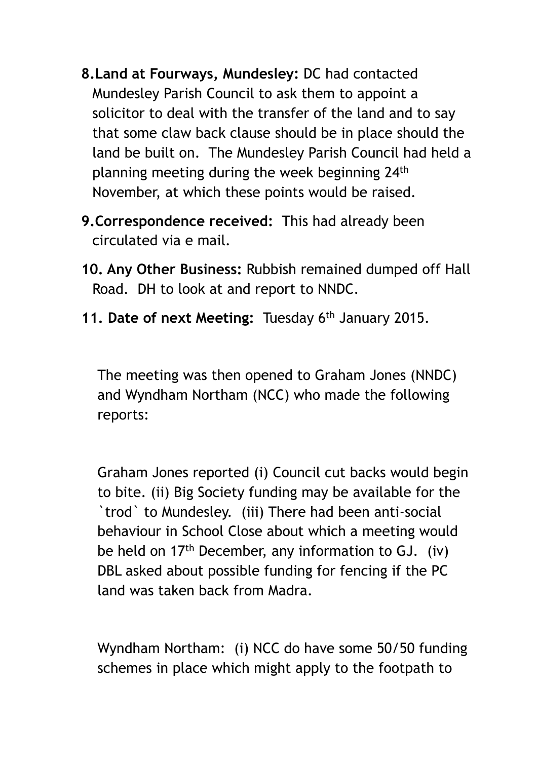- **8.Land at Fourways, Mundesley:** DC had contacted Mundesley Parish Council to ask them to appoint a solicitor to deal with the transfer of the land and to say that some claw back clause should be in place should the land be built on. The Mundesley Parish Council had held a planning meeting during the week beginning 24th November, at which these points would be raised.
- **9.Correspondence received:** This had already been circulated via e mail.
- **10. Any Other Business:** Rubbish remained dumped off Hall Road. DH to look at and report to NNDC.
- **11. Date of next Meeting:** Tuesday 6th January 2015.

The meeting was then opened to Graham Jones (NNDC) and Wyndham Northam (NCC) who made the following reports:

Graham Jones reported (i) Council cut backs would begin to bite. (ii) Big Society funding may be available for the `trod` to Mundesley. (iii) There had been anti-social behaviour in School Close about which a meeting would be held on 17th December, any information to GJ. (iv) DBL asked about possible funding for fencing if the PC land was taken back from Madra.

Wyndham Northam: (i) NCC do have some 50/50 funding schemes in place which might apply to the footpath to